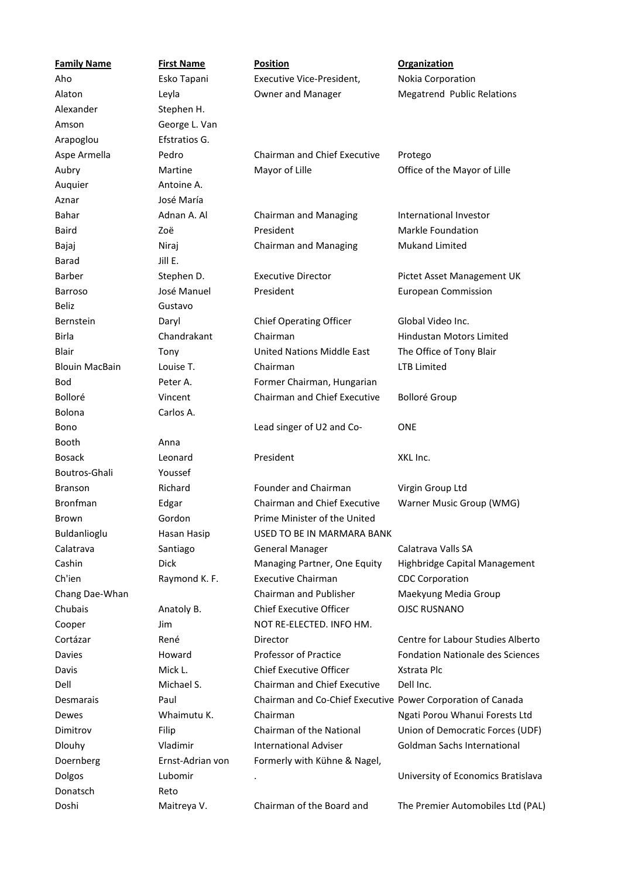| <b>Family Name</b>    | <b>First Name</b> | <b>Position</b>                                             | <b>Organization</b>                     |
|-----------------------|-------------------|-------------------------------------------------------------|-----------------------------------------|
| Aho                   | Esko Tapani       | Executive Vice-President,                                   | Nokia Corporation                       |
| Alaton                | Leyla             | <b>Owner and Manager</b>                                    | <b>Megatrend Public Relations</b>       |
| Alexander             | Stephen H.        |                                                             |                                         |
| Amson                 | George L. Van     |                                                             |                                         |
| Arapoglou             | Efstratios G.     |                                                             |                                         |
| Aspe Armella          | Pedro             | <b>Chairman and Chief Executive</b>                         | Protego                                 |
| Aubry                 | Martine           | Mayor of Lille                                              | Office of the Mayor of Lille            |
| Auquier               | Antoine A.        |                                                             |                                         |
| Aznar                 | José María        |                                                             |                                         |
| Bahar                 | Adnan A. Al       | <b>Chairman and Managing</b>                                | International Investor                  |
| <b>Baird</b>          | Zoë               | President                                                   | <b>Markle Foundation</b>                |
| Bajaj                 | Niraj             | <b>Chairman and Managing</b>                                | <b>Mukand Limited</b>                   |
| <b>Barad</b>          | Jill E.           |                                                             |                                         |
| Barber                | Stephen D.        | <b>Executive Director</b>                                   | Pictet Asset Management UK              |
| <b>Barroso</b>        | José Manuel       | President                                                   | <b>European Commission</b>              |
| <b>Beliz</b>          | Gustavo           |                                                             |                                         |
| <b>Bernstein</b>      | Daryl             | Chief Operating Officer                                     | Global Video Inc.                       |
| <b>Birla</b>          | Chandrakant       | Chairman                                                    | <b>Hindustan Motors Limited</b>         |
| Blair                 | Tony              | <b>United Nations Middle East</b>                           | The Office of Tony Blair                |
| <b>Blouin MacBain</b> | Louise T.         | Chairman                                                    | <b>LTB Limited</b>                      |
| <b>Bod</b>            | Peter A.          | Former Chairman, Hungarian                                  |                                         |
| Bolloré               | Vincent           | Chairman and Chief Executive                                | <b>Bolloré Group</b>                    |
| <b>Bolona</b>         | Carlos A.         |                                                             |                                         |
| Bono                  |                   | Lead singer of U2 and Co-                                   | <b>ONE</b>                              |
| Booth                 | Anna              |                                                             |                                         |
| <b>Bosack</b>         | Leonard           | President                                                   | XKL Inc.                                |
| Boutros-Ghali         | Youssef           |                                                             |                                         |
| <b>Branson</b>        | Richard           | Founder and Chairman                                        | Virgin Group Ltd                        |
| <b>Bronfman</b>       | Edgar             | <b>Chairman and Chief Executive</b>                         | Warner Music Group (WMG)                |
| Brown                 | Gordon            | Prime Minister of the United                                |                                         |
| Buldanlioglu          | Hasan Hasip       | USED TO BE IN MARMARA BANK                                  |                                         |
| Calatrava             | Santiago          | <b>General Manager</b>                                      | Calatrava Valls SA                      |
| Cashin                | Dick              | Managing Partner, One Equity                                | Highbridge Capital Management           |
| Ch'ien                | Raymond K. F.     | <b>Executive Chairman</b>                                   | <b>CDC Corporation</b>                  |
| Chang Dae-Whan        |                   | Chairman and Publisher                                      | Maekyung Media Group                    |
| Chubais               | Anatoly B.        | <b>Chief Executive Officer</b>                              | <b>OJSC RUSNANO</b>                     |
| Cooper                | Jim               | NOT RE-ELECTED. INFO HM.                                    |                                         |
| Cortázar              | René              | Director                                                    | Centre for Labour Studies Alberto       |
| Davies                | Howard            | Professor of Practice                                       | <b>Fondation Nationale des Sciences</b> |
| Davis                 | Mick L.           | <b>Chief Executive Officer</b>                              | Xstrata Plc                             |
| Dell                  | Michael S.        | Chairman and Chief Executive                                | Dell Inc.                               |
| Desmarais             | Paul              | Chairman and Co-Chief Executive Power Corporation of Canada |                                         |
| Dewes                 | Whaimutu K.       | Chairman                                                    | Ngati Porou Whanui Forests Ltd          |
| Dimitrov              | Filip             | Chairman of the National                                    | Union of Democratic Forces (UDF)        |
| <b>Dlouhy</b>         | Vladimir          | <b>International Adviser</b>                                | Goldman Sachs International             |
| Doernberg             | Ernst-Adrian von  | Formerly with Kühne & Nagel,                                |                                         |
| Dolgos                | Lubomir           |                                                             | University of Economics Bratislava      |
| Donatsch              | Reto              |                                                             |                                         |
| Doshi                 | Maitreya V.       | Chairman of the Board and                                   | The Premier Automobiles Ltd (PAL)       |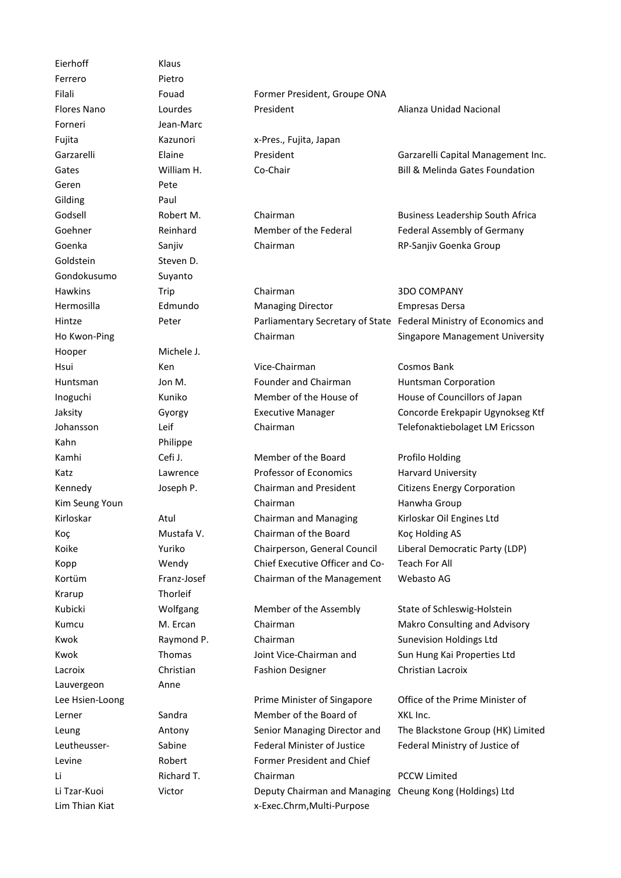Eierhoff Klaus Ferrero Pietro Forneri Jean-Marc Geren Pete Gilding Paul Goldstein Steven D. Gondokusumo Suyanto Hooper Michele J. Kahn Philippe Krarup Thorleif Lauvergeon Anne Leutheusser-Levine

Filali Fouad Former President, Groupe ONA Flores Nano Lourdes President Alianza Unidad Nacional

Fujita Kazunori x-Pres., Fujita, Japan

Goehner Reinhard Member of the Federal Chairman

Hawkins Trip Chairman 3DO COMPANY Hermosilla Edmundo Managing Director Empresas Dersa

Hsui Ken Vice-Chairman Cosmos Bank Huntsman Jon M. Founder and Chairman Huntsman Corporation Inoguchi Kuniko Member of the House of **Executive Manager** 

Kamhi Cefi J. Member of the Board Profilo Holding Katz **Example 2 Lawrence Reference** Professor of Economics **Harvard University** Kennedy **Solution Burney Communist President** Citizens Energy Corporation Citizens Energy Corporation Kim Seung Youn **Chairman** Chairman **Hanwha Group** Kirloskar **Atul** Atul Chairman and Managing Koç **Mustafa V.** Chairman of the Board Koç Holding AS Koike **Yuriko** Chairperson, General Council Liberal Democratic Party (LDP) Kopp Wendy Chief Executive Officer and Co-Kortüm Franz-Josef Chairman of the Management

Kwok **Raymond P.** Chairman Sunevision Holdings Ltd. Sunevision Holdings Ltd. Sunevision Holdings Ltd Kwok Thomas Joint Vice-Chairman and Lacroix **Christian** Christian **Fashion Designer** Christian Lacroix

Lerner Sandra Member of the Board of Leung **Communist Communist Communist Communist Communist Communist Communist Communist Communist Communist Comm** Federal Minister of Justice Sabine Federal Minister of Justice Federal Ministry of Justice of Robert Former President and Chief Li Richard T. Executive Officer, Cabletron Chairman PCCW Limited Li Tzar-Kuoi Victor Deputy Chairman and Managing Cheung Kong (Holdings) Ltd Lim Thian Kiat **X** and Thian Kiat and Thian Multi-Purpose

Garzarelli Elaine President President Garzarelli Capital Management Inc. Gates **Milliam H.** Co-Chair Bill & Melinda Gates Foundation Co-Chair

Godsell **Robert M.** Chairman Business Leadership South Africa Federal Assembly of Germany Goenka Sanjiv Chairman (Bundestag) Sanjiv Goenka Group

Hintze Peter Parliamentary Secretary of State Federal Ministry of Economics and Ho Kwon-Ping Technology of Chairman Technology of Germany Singapore Management University

House of Councillors of Japan Jaksity Gyorgy Executive Manager Concorde Erekpapir Ugynokseg Ktf Johansson Leif Chairman Telefonaktiebolaget LM Ericsson

> Kirloskar Oil Engines Ltd Teach For All Webasto AG

Kubicki Wolfgang Member of the Assembly State of Schleswig-Holstein Kumcu **M. Ercan** Chairman Makro Consulting and Advisory Sun Hung Kai Properties Ltd

Lee Hsien-Loong **Prime Minister of Singapore** Office of the Prime Minister of XKL Inc. The Blackstone Group (HK) Limited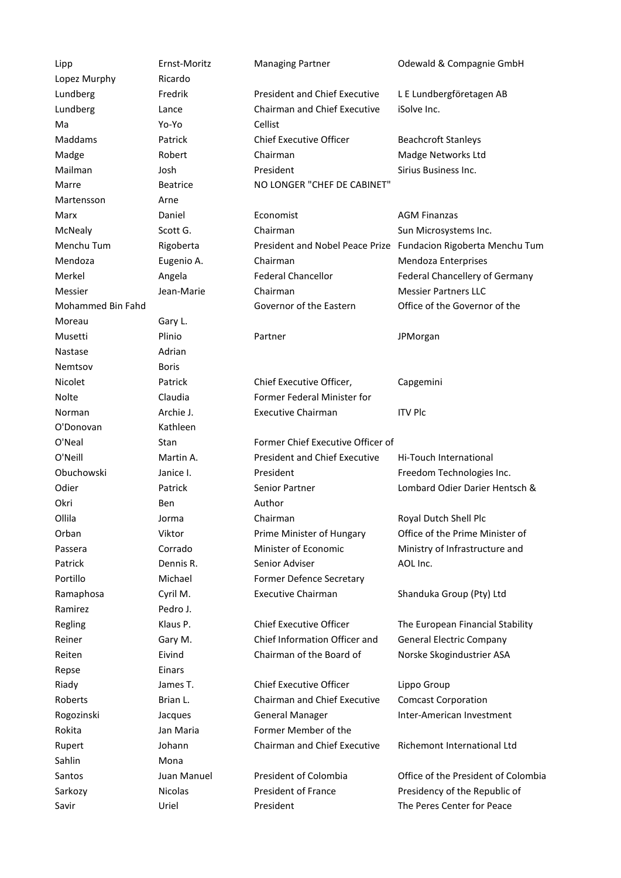Lipp Ernst-Moritz Managing Partner Odewald & Compagnie GmbH Lopez Murphy Ricardo Lundberg Fredrik President and Chief Executive Lundberg **CHAIR** Lance **Chairman and Chief Executive** iSolve Inc. Cellist Ma Yo-Yo Cellist Maddams **Patrick** Patrick Chief Executive Officer Beachcroft Stanleys Madge **Robert** Chairman Madge Networks Ltd Mailman Josh **President** Sirius Business Inc. Marre Beatrice NO LONGER "CHEF DE CABINET" Martensson Arne Marx Daniel Economist AGM Finanzas McNealy Scott G. Chairman Sun Microsystems Inc. Menchu Tum Rigoberta President and Nobel Peace Prize Fundacion Rigoberta Menchu Tum Chairman Mendoza Eugenio A. Chairman Mendoza Enterprises Merkel Angela Federal Chancellor Federal Chancellery of Germany Messier The Messier Jean-Marie Chairman Messier Partners LLC Mohammed Bin Fahd Moreau Governor of the Eastern Moreau Gary L. Eastern Province of Saudi Arabia Care of Saudi Arabia Care of Saudi Arabia Care of Saudi Arabia Care of Saudi Arabia Care of Saudi Arabia Care of Saudi Arabia Care of Saudi Arabia Care of Saudi Arabia Care o Musetti Plinio Partner Partner JPMorgan Nastase Adrian Nemtsov Boris Nicolet Patrick Chief Executive Officer, Nolte Claudia Former Federal Minister for Norman **Archie J.** Family Executive Chairman ITV Plc O'Donovan Kathleen O'Neal Stan Former Chief Executive Officer of O'Neill Martin A. Consident and Chief Executive President Obuchowski Janice I. President Freedom Technologies Inc. Odier **Patrick Senior Partner Lombard Odier Darier Hentsch &** Combard Odier Darier Hentsch & Okri Ben Author Charles Ben Author Ollila Jorma Chairman Royal Dutch Shell Plc Orban Viktor Prime Minister of Hungary Office of the Prime Minister of Passera **Corrado** Corrado Minister of Economic Patrick **Dennis R.** Senior Adviser **AOL Inc.** Senior Adviser Portillo Michael Former Defence Secretary Ramaphosa Cyril M. Executive Chairman Shanduka Group (Pty) Ltd Ramirez Pedro J. Regling The European Financial Stability Chief Executive Officer The European Financial Stability Reiner Gary M. Chief Information Officer and Reiten **Eivind** Eivind Chairman of the Board of Repse Einars Riady James T. Chief Executive Officer Lippo Group Roberts **Brian L.** Chairman and Chief Executive **General Manager** Rogozinski Jacques General Manager Inter-American Investment Rokita **Jan Maria** Former Member of the Rupert Johann **Parliament of Poland Chairman and Chief Executive** Sahlin Mona Santos Juan Manuel President of Colombia Office of the President of Colombia Sarkozy **Nicolas** President of France Presidency of the Republic of Savir **Savir Example 20** Uriel President France The Peres Center for Peace

L E Lundbergföretagen AB iSolve Inc.

Office of the Governor of the

Capgemini

Hi-Touch International

Ministry of Infrastructure and

General Electric Company Norske Skogindustrier ASA

Comcast Corporation

Richemont International Ltd